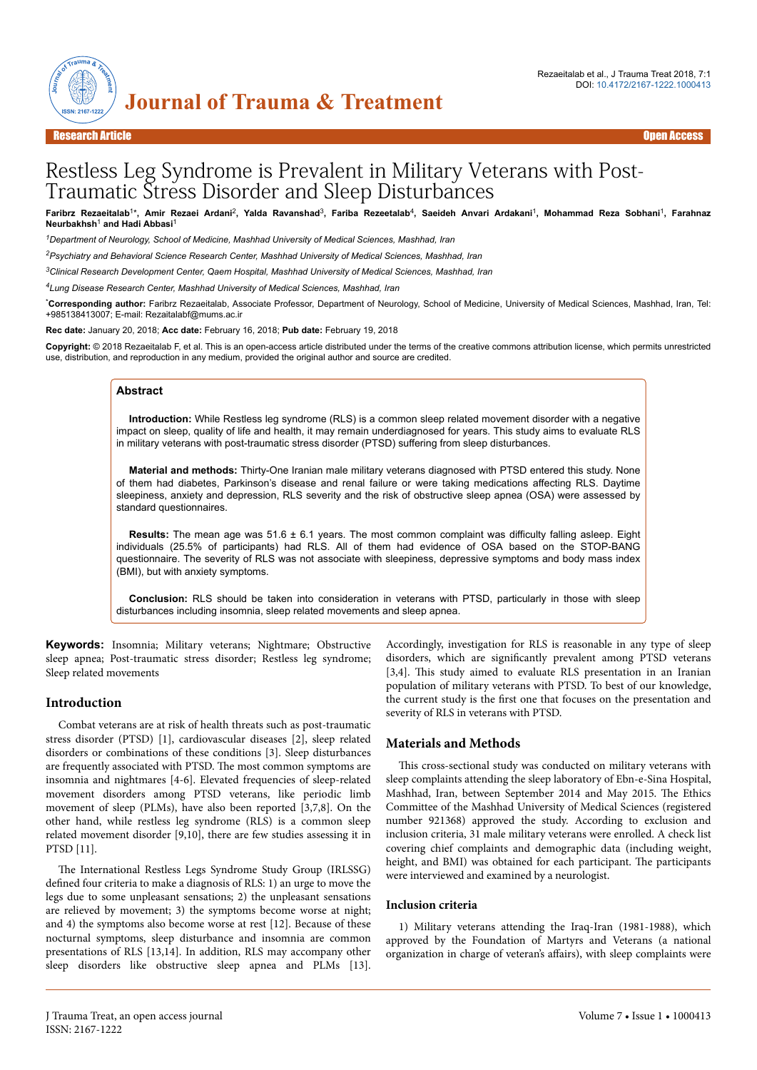

# Restless Leg Syndrome is Prevalent in Military Veterans with Post-Traumatic Stress Disorder and Sleep Disturbances

Faribrz Rezaeitalab<sup>1</sup>\*, Amir Rezaei Ardani<sup>2</sup>, Yalda Ravanshad<sup>3</sup>, Fariba Rezeetalab<sup>4</sup>, Saeideh Anvari Ardakani<sup>1</sup>, Mohammad Reza Sobhani<sup>1</sup>, Farahnaz **Neurbakhsh**<sup>1</sup>  **and Hadi Abbasi**<sup>1</sup>

*<sup>1</sup>Department of Neurology, School of Medicine, Mashhad University of Medical Sciences, Mashhad, Iran*

*<sup>2</sup>Psychiatry and Behavioral Science Research Center, Mashhad University of Medical Sciences, Mashhad, Iran*

*<sup>3</sup>Clinical Research Development Center, Qaem Hospital, Mashhad University of Medical Sciences, Mashhad, Iran*

*<sup>4</sup>Lung Disease Research Center, Mashhad University of Medical Sciences, Mashhad, Iran*

\***Corresponding author:** Faribrz Rezaeitalab, Associate Professor, Department of Neurology, School of Medicine, University of Medical Sciences, Mashhad, Iran, Tel: +985138413007; E-mail: Rezaitalabf@mums.ac.ir

**Rec date:** January 20, 2018; **Acc date:** February 16, 2018; **Pub date:** February 19, 2018

**Copyright:** © 2018 Rezaeitalab F, et al. This is an open-access article distributed under the terms of the creative commons attribution license, which permits unrestricted use, distribution, and reproduction in any medium, provided the original author and source are credited.

#### **Abstract**

**Introduction:** While Restless leg syndrome (RLS) is a common sleep related movement disorder with a negative impact on sleep, quality of life and health, it may remain underdiagnosed for years. This study aims to evaluate RLS in military veterans with post-traumatic stress disorder (PTSD) suffering from sleep disturbances.

**Material and methods:** Thirty-One Iranian male military veterans diagnosed with PTSD entered this study. None of them had diabetes, Parkinson's disease and renal failure or were taking medications affecting RLS. Daytime sleepiness, anxiety and depression, RLS severity and the risk of obstructive sleep apnea (OSA) were assessed by standard questionnaires.

**Results:** The mean age was 51.6 ± 6.1 years. The most common complaint was difficulty falling asleep. Eight individuals (25.5% of participants) had RLS. All of them had evidence of OSA based on the STOP-BANG questionnaire. The severity of RLS was not associate with sleepiness, depressive symptoms and body mass index (BMI), but with anxiety symptoms.

**Conclusion:** RLS should be taken into consideration in veterans with PTSD, particularly in those with sleep disturbances including insomnia, sleep related movements and sleep apnea.

**Keywords:** Insomnia; Military veterans; Nightmare; Obstructive sleep apnea; Post-traumatic stress disorder; Restless leg syndrome; Sleep related movements

## **Introduction**

Combat veterans are at risk of health threats such as post-traumatic stress disorder (PTSD) [1], cardiovascular diseases [2], sleep related disorders or combinations of these conditions [3]. Sleep disturbances are frequently associated with PTSD. Нe most common symptoms are insomnia and nightmares [4-6]. Elevated frequencies of sleep-related movement disorders among PTSD veterans, like periodic limb movement of sleep (PLMs), have also been reported [3,7,8]. On the other hand, while restless leg syndrome (RLS) is a common sleep related movement disorder [9,10], there are few studies assessing it in PTSD [11].

The International Restless Legs Syndrome Study Group (IRLSSG) defined four criteria to make a diagnosis of RLS: 1) an urge to move the legs due to some unpleasant sensations; 2) the unpleasant sensations are relieved by movement; 3) the symptoms become worse at night; and 4) the symptoms also become worse at rest [12]. Because of these nocturnal symptoms, sleep disturbance and insomnia are common presentations of RLS [13,14]. In addition, RLS may accompany other sleep disorders like obstructive sleep apnea and PLMs [13].

Accordingly, investigation for RLS is reasonable in any type of sleep disorders, which are significantly prevalent among PTSD veterans [3,4]. This study aimed to evaluate RLS presentation in an Iranian population of military veterans with PTSD. To best of our knowledge, the current study is the first one that focuses on the presentation and severity of RLS in veterans with PTSD.

## **Materials and Methods**

This cross-sectional study was conducted on military veterans with sleep complaints attending the sleep laboratory of Ebn-e-Sina Hospital, Mashhad, Iran, between September 2014 and May 2015. Нe Ethics Committee of the Mashhad University of Medical Sciences (registered number 921368) approved the study. According to exclusion and inclusion criteria, 31 male military veterans were enrolled. A check list covering chief complaints and demographic data (including weight, height, and BMI) was obtained for each participant. The participants were interviewed and examined by a neurologist.

#### **Inclusion criteria**

1) Military veterans attending the Iraq-Iran (1981-1988), which approved by the Foundation of Martyrs and Veterans (a national organization in charge of veteran's affairs), with sleep complaints were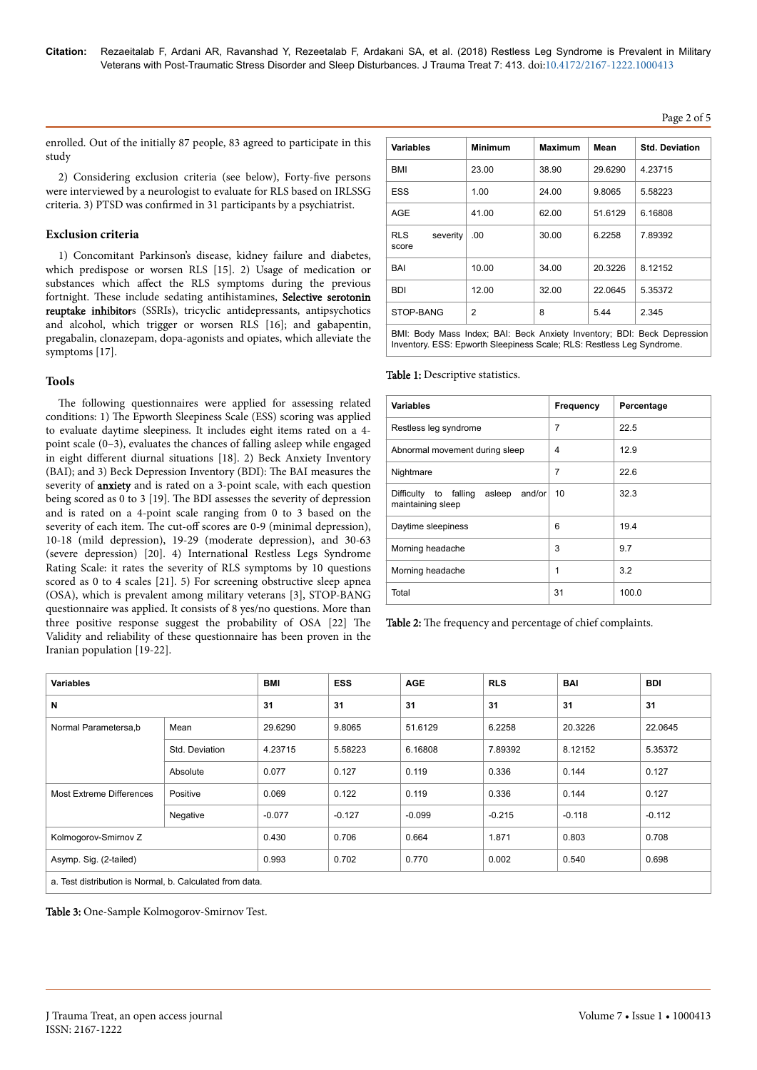# Page 2 of 5

enrolled. Out of the initially 87 people, 83 agreed to participate in this study

2) Considering exclusion criteria (see below), Forty-five persons were interviewed by a neurologist to evaluate for RLS based on IRLSSG criteria. 3) PTSD was confirmed in 31 participants by a psychiatrist.

# **Exclusion criteria**

1) Concomitant Parkinson's disease, kidney failure and diabetes, which predispose or worsen RLS [15]. 2) Usage of medication or substances which affect the RLS symptoms during the previous fortnight. Нese include sedating antihistamines, Selective serotonin reuptake inhibitors (SSRIs), tricyclic antidepressants, antipsychotics and alcohol, which trigger or worsen RLS [16]; and gabapentin, pregabalin, clonazepam, dopa-agonists and opiates, which alleviate the symptoms [17].

## **Tools**

The following questionnaires were applied for assessing related conditions: 1) Нe Epworth Sleepiness Scale (ESS) scoring was applied to evaluate daytime sleepiness. It includes eight items rated on a 4 point scale (0–3), evaluates the chances of falling asleep while engaged in eight different diurnal situations [18]. 2) Beck Anxiety Inventory (BAI); and 3) Beck Depression Inventory (BDI): Нe BAI measures the severity of anxiety and is rated on a 3-point scale, with each question being scored as 0 to 3 [19]. Нe BDI assesses the severity of depression and is rated on a 4-point scale ranging from 0 to 3 based on the severity of each item. The cut-off scores are 0-9 (minimal depression), 10-18 (mild depression), 19-29 (moderate depression), and 30-63 (severe depression) [20]. 4) International Restless Legs Syndrome Rating Scale: it rates the severity of RLS symptoms by 10 questions scored as 0 to 4 scales [21]. 5) For screening obstructive sleep apnea (OSA), which is prevalent among military veterans [3], STOP-BANG questionnaire was applied. It consists of 8 yes/no questions. More than three positive response suggest the probability of OSA [22] Нe Validity and reliability of these questionnaire has been proven in the Iranian population [19-22].

| 23.00<br>1.00 | 38.90<br>24.00 | 29.6290 | 4.23715 |
|---------------|----------------|---------|---------|
|               |                |         |         |
|               |                | 9.8065  | 5.58223 |
| 41.00         | 62.00          | 51.6129 | 6.16808 |
| .00           | 30.00          | 6.2258  | 7.89392 |
| 10.00         | 34.00          | 20.3226 | 8.12152 |
| 12.00         | 32.00          | 22.0645 | 5.35372 |
| 2             | 8              | 5.44    | 2.345   |
|               |                |         |         |

BMI: Body Mass Index; BAI: Beck Anxiety Inventory; BDI: Beck Depression Inventory. ESS: Epworth Sleepiness Scale; RLS: Restless Leg Syndrome.

Table 1: Descriptive statistics.

| <b>Variables</b>                                               | Frequency | Percentage |
|----------------------------------------------------------------|-----------|------------|
| Restless leg syndrome                                          | 7         | 22.5       |
| Abnormal movement during sleep                                 | 4         | 12.9       |
| Nightmare                                                      | 7         | 22.6       |
| Difficulty to falling<br>asleep<br>and/or<br>maintaining sleep | 10        | 32.3       |
| Daytime sleepiness                                             | 6         | 19.4       |
| Morning headache                                               | 3         | 9.7        |
| Morning headache                                               | 1         | 3.2        |
| Total                                                          | 31        | 100.0      |

Table 2: The frequency and percentage of chief complaints.

| <b>Variables</b>                                         |                | BMI      | <b>ESS</b> | <b>AGE</b> | <b>RLS</b> | <b>BAI</b> | <b>BDI</b> |
|----------------------------------------------------------|----------------|----------|------------|------------|------------|------------|------------|
| N                                                        |                | 31       | 31         | 31         | 31         | 31         | 31         |
| Normal Parametersa,b                                     | Mean           | 29.6290  | 9.8065     | 51.6129    | 6.2258     | 20.3226    | 22.0645    |
|                                                          | Std. Deviation | 4.23715  | 5.58223    | 6.16808    | 7.89392    | 8.12152    | 5.35372    |
|                                                          | Absolute       | 0.077    | 0.127      | 0.119      | 0.336      | 0.144      | 0.127      |
| <b>Most Extreme Differences</b>                          | Positive       | 0.069    | 0.122      | 0.119      | 0.336      | 0.144      | 0.127      |
|                                                          | Negative       | $-0.077$ | $-0.127$   | $-0.099$   | $-0.215$   | $-0.118$   | $-0.112$   |
| Kolmogorov-Smirnov Z                                     |                | 0.430    | 0.706      | 0.664      | 1.871      | 0.803      | 0.708      |
| Asymp. Sig. (2-tailed)                                   |                | 0.993    | 0.702      | 0.770      | 0.002      | 0.540      | 0.698      |
| a. Test distribution is Normal, b. Calculated from data. |                |          |            |            |            |            |            |

Table 3: One-Sample Kolmogorov-Smirnov Test.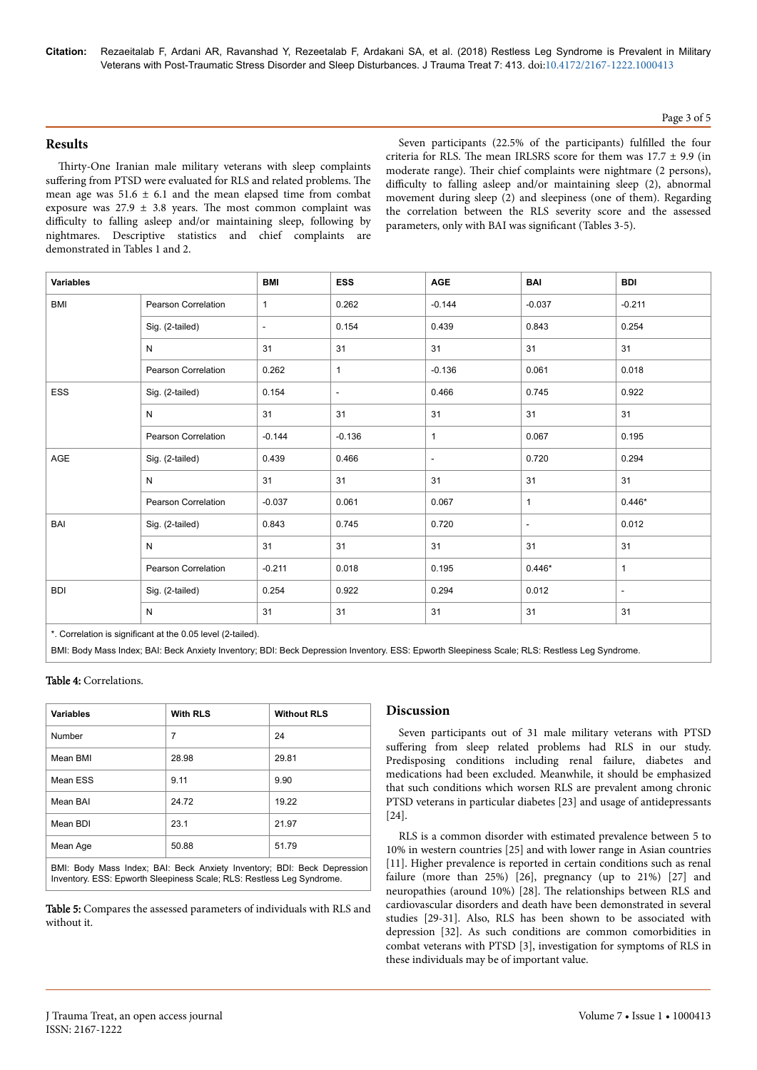**Citation:** Rezaeitalab F, Ardani AR, Ravanshad Y, Rezeetalab F, Ardakani SA, et al. (2018) Restless Leg Syndrome is Prevalent in Military Veterans with Post-Traumatic Stress Disorder and Sleep Disturbances. J Trauma Treat 7: 413. doi:10.4172/2167-1222.1000413

#### Page 3 of 5

### **Results**

Thirty-One Iranian male military veterans with sleep complaints suffering from PTSD were evaluated for RLS and related problems. The mean age was  $51.6 \pm 6.1$  and the mean elapsed time from combat exposure was  $27.9 \pm 3.8$  years. The most common complaint was difficulty to falling asleep and/or maintaining sleep, following by nightmares. Descriptive statistics and chief complaints are demonstrated in Tables 1 and 2.

Seven participants (22.5% of the participants) fulfilled the four criteria for RLS. The mean IRLSRS score for them was  $17.7 \pm 9.9$  (in moderate range). Their chief complaints were nightmare (2 persons), difficulty to falling asleep and/or maintaining sleep (2), abnormal movement during sleep (2) and sleepiness (one of them). Regarding the correlation between the RLS severity score and the assessed parameters, only with BAI was significant (Tables 3-5).

| <b>Variables</b> |                     | <b>BMI</b>               | <b>ESS</b>               | <b>AGE</b>               | <b>BAI</b>               | <b>BDI</b>   |
|------------------|---------------------|--------------------------|--------------------------|--------------------------|--------------------------|--------------|
| BMI              | Pearson Correlation | $\mathbf{1}$             | 0.262                    | $-0.144$                 | $-0.037$                 | $-0.211$     |
|                  | Sig. (2-tailed)     | $\overline{\phantom{a}}$ | 0.154                    | 0.439                    | 0.843                    | 0.254        |
|                  | N                   | 31                       | 31                       | 31                       | 31                       | 31           |
|                  | Pearson Correlation | 0.262                    | $\mathbf{1}$             | $-0.136$                 | 0.061                    | 0.018        |
| ESS              | Sig. (2-tailed)     | 0.154                    | $\overline{\phantom{a}}$ | 0.466                    | 0.745                    | 0.922        |
|                  | N                   | 31                       | 31                       | 31                       | 31                       | 31           |
|                  | Pearson Correlation | $-0.144$                 | $-0.136$                 | $\mathbf{1}$             | 0.067                    | 0.195        |
| AGE              | Sig. (2-tailed)     | 0.439                    | 0.466                    | $\overline{\phantom{a}}$ | 0.720                    | 0.294        |
|                  | N                   | 31                       | 31                       | 31                       | 31                       | 31           |
|                  | Pearson Correlation | $-0.037$                 | 0.061                    | 0.067                    | $\mathbf{1}$             | $0.446*$     |
| BAI              | Sig. (2-tailed)     | 0.843                    | 0.745                    | 0.720                    | $\overline{\phantom{a}}$ | 0.012        |
|                  | N                   | 31                       | 31                       | 31                       | 31                       | 31           |
|                  | Pearson Correlation | $-0.211$                 | 0.018                    | 0.195                    | $0.446*$                 | $\mathbf{1}$ |
| <b>BDI</b>       | Sig. (2-tailed)     | 0.254                    | 0.922                    | 0.294                    | 0.012                    | $\sim$       |
|                  | N                   | 31                       | 31                       | 31                       | 31                       | 31           |

Correlation is significant at the 0.05 level (2-tailed).

BMI: Body Mass Index; BAI: Beck Anxiety Inventory; BDI: Beck Depression Inventory. ESS: Epworth Sleepiness Scale; RLS: Restless Leg Syndrome.

#### Table 4: Correlations.

| <b>Variables</b> | <b>With RLS</b> | <b>Without RLS</b> |
|------------------|-----------------|--------------------|
| Number           | 7               | 24                 |
| Mean BMI         | 28.98           | 29.81              |
| Mean ESS         | 9.11            | 9.90               |
| Mean BAI         | 24.72           | 19.22              |
| Mean BDI         | 23.1            | 21.97              |
| Mean Age         | 50.88           | 51.79              |

BMI: Body Mass Index; BAI: Beck Anxiety Inventory; BDI: Beck Depression Inventory. ESS: Epworth Sleepiness Scale; RLS: Restless Leg Syndrome.

Table 5: Compares the assessed parameters of individuals with RLS and without it.

#### **Discussion**

Seven participants out of 31 male military veterans with PTSD suffering from sleep related problems had RLS in our study. Predisposing conditions including renal failure, diabetes and medications had been excluded. Meanwhile, it should be emphasized that such conditions which worsen RLS are prevalent among chronic PTSD veterans in particular diabetes [23] and usage of antidepressants [24].

RLS is a common disorder with estimated prevalence between 5 to 10% in western countries [25] and with lower range in Asian countries [11]. Higher prevalence is reported in certain conditions such as renal failure (more than 25%) [26], pregnancy (up to 21%) [27] and neuropathies (around 10%) [28]. Нe relationships between RLS and cardiovascular disorders and death have been demonstrated in several studies [29-31]. Also, RLS has been shown to be associated with depression [32]. As such conditions are common comorbidities in combat veterans with PTSD [3], investigation for symptoms of RLS in these individuals may be of important value.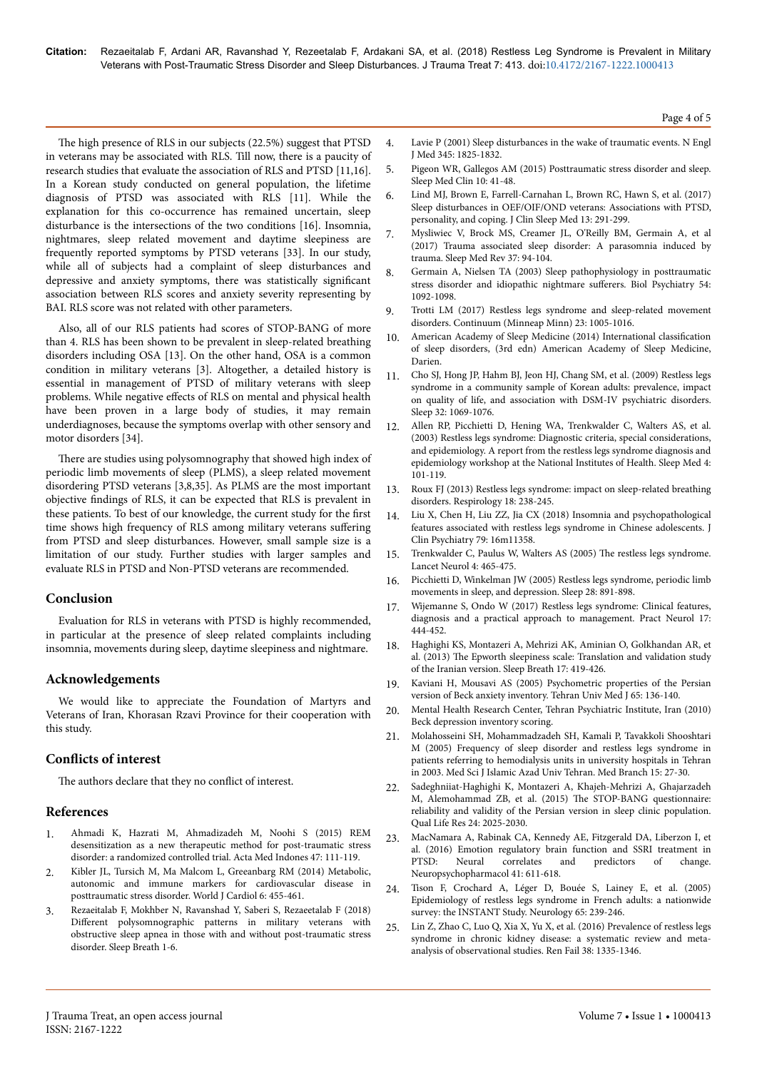The high presence of RLS in our subjects (22.5%) suggest that PTSD in veterans may be associated with RLS. Till now, there is a paucity of research studies that evaluate the association of RLS and PTSD [11,16]. In a Korean study conducted on general population, the lifetime diagnosis of PTSD was associated with RLS [11]. While the explanation for this co-occurrence has remained uncertain, sleep disturbance is the intersections of the two conditions [16]. Insomnia, nightmares, sleep related movement and daytime sleepiness are frequently reported symptoms by PTSD veterans [33]. In our study, while all of subjects had a complaint of sleep disturbances and depressive and anxiety symptoms, there was statistically significant association between RLS scores and anxiety severity representing by BAI. RLS score was not related with other parameters.

Also, all of our RLS patients had scores of STOP-BANG of more than 4. RLS has been shown to be prevalent in sleep-related breathing disorders including OSA [13]. On the other hand, OSA is a common condition in military veterans [3]. Altogether, a detailed history is essential in management of PTSD of military veterans with sleep problems. While negative effects of RLS on mental and physical health have been proven in a large body of studies, it may remain underdiagnoses, because the symptoms overlap with other sensory and motor disorders [34].

There are studies using polysomnography that showed high index of periodic limb movements of sleep (PLMS), a sleep related movement disordering PTSD veterans [3,8,35]. As PLMS are the most important objective findings of RLS, it can be expected that RLS is prevalent in these patients. To best of our knowledge, the current study for the first time shows high frequency of RLS among military veterans suffering from PTSD and sleep disturbances. However, small sample size is a limitation of our study. Further studies with larger samples and evaluate RLS in PTSD and Non-PTSD veterans are recommended.

## **Conclusion**

Evaluation for RLS in veterans with PTSD is highly recommended, in particular at the presence of sleep related complaints including insomnia, movements during sleep, daytime sleepiness and nightmare.

# **Acknowledgements**

We would like to appreciate the Foundation of Martyrs and Veterans of Iran, Khorasan Rzavi Province for their cooperation with this study.

# **Conflicts of interest**

The authors declare that they no conflict of interest.

## **References**

- 1. [Ahmadi K, Hazrati M, Ahmadizadeh M, Noohi S \(2015\) REM](https://www.researchgate.net/publication/280967784_REM_Desensitization_as_a_New_Therapeutic_Method_for_Post-Traumatic_Stress_Disorder_A_Randomized_Controlled_Trial) [desensitization as a new therapeutic method for post-traumatic stress](https://www.researchgate.net/publication/280967784_REM_Desensitization_as_a_New_Therapeutic_Method_for_Post-Traumatic_Stress_Disorder_A_Randomized_Controlled_Trial) [disorder: a randomized controlled trial. Acta Med Indones 47: 111-119.](https://www.researchgate.net/publication/280967784_REM_Desensitization_as_a_New_Therapeutic_Method_for_Post-Traumatic_Stress_Disorder_A_Randomized_Controlled_Trial)
- 2. [Kibler JL, Tursich M, Ma Malcom L, Greeanbarg RM \(2014\) Metabolic,](http://dx.doi.org/10.4330/wjc.v6.i6.455) [autonomic and immune markers for cardiovascular disease in](http://dx.doi.org/10.4330/wjc.v6.i6.455) [posttraumatic stress disorder. World J Cardiol 6: 455-461.](http://dx.doi.org/10.4330/wjc.v6.i6.455)
- 3. [Rezaeitalab F, Mokhber N, Ravanshad Y, Saberi S, Rezaeetalab F \(2018\)](http://dx.doi.org/10.1007/s11325-017-1596-0) Different [polysomnographic patterns in military veterans with](http://dx.doi.org/10.1007/s11325-017-1596-0) [obstructive sleep apnea in those with and without post-traumatic stress](http://dx.doi.org/10.1007/s11325-017-1596-0) [disorder. Sleep Breath 1-6.](http://dx.doi.org/10.1007/s11325-017-1596-0)
- 4. [Lavie P \(2001\) Sleep disturbances in the wake of traumatic events. N Engl](http://dx.doi.org/10.1056/NEJMra012893) [J Med 345: 1825-1832.](http://dx.doi.org/10.1056/NEJMra012893)
- 5. Pigeon WR, Gallegos AM (2015) Posttraumatic stress disorder and sleep. Sleep Med Clin 10: 41-48.
- 6. [Lind MJ, Brown E, Farrell-Carnahan L, Brown RC, Hawn S, et al. \(2017\)](http://dx.doi.org/10.5664/jcsm.6466) [Sleep disturbances in OEF/OIF/OND veterans: Associations with PTSD,](http://dx.doi.org/10.5664/jcsm.6466) [personality, and coping. J Clin Sleep Med 13: 291-299.](http://dx.doi.org/10.5664/jcsm.6466)
- 7. [Mysliwiec V, Brock MS, Creamer JL, O'Reilly BM, Germain A, et al](http://dx.doi.org/10.1016/j.smrv.2017.01.004) [\(2017\) Trauma associated sleep disorder: A parasomnia induced by](http://dx.doi.org/10.1016/j.smrv.2017.01.004) [trauma. Sleep Med Rev 37: 94-104.](http://dx.doi.org/10.1016/j.smrv.2017.01.004)
- 8. [Germain A, Nielsen TA \(2003\) Sleep pathophysiology in posttraumatic](http://dx.doi.org/10.1016/S0006-3223(03)00071-4) [stress disorder and idiopathic nightmare](http://dx.doi.org/10.1016/S0006-3223(03)00071-4) sufferers. Biol Psychiatry 54: [1092-1098.](http://dx.doi.org/10.1016/S0006-3223(03)00071-4)
- 9. [Trotti LM \(2017\) Restless legs syndrome and sleep-related movement](http://dx.doi.org/10.1212/CON.0000000000000488) [disorders. Continuum \(Minneap Minn\) 23: 1005-1016.](http://dx.doi.org/10.1212/CON.0000000000000488)
- 10. [American Academy of Sleep Medicine \(2014\) International](http://journal.chestnet.org/article/S0012-3692(15)52407-0/fulltext) classification [of sleep disorders, \(3rd edn\) American Academy of Sleep Medicine,](http://journal.chestnet.org/article/S0012-3692(15)52407-0/fulltext) [Darien.](http://journal.chestnet.org/article/S0012-3692(15)52407-0/fulltext)
- 11. [Cho SJ, Hong JP, Hahm BJ, Jeon HJ, Chang SM, et al. \(2009\) Restless legs](http://dx.doi.org/10.1093/sleep/32.8.1069) [syndrome in a community sample of Korean adults: prevalence, impact](http://dx.doi.org/10.1093/sleep/32.8.1069) [on quality of life, and association with DSM-IV psychiatric disorders.](http://dx.doi.org/10.1093/sleep/32.8.1069) [Sleep 32: 1069-1076.](http://dx.doi.org/10.1093/sleep/32.8.1069)
- 12. [Allen RP, Picchietti D, Hening WA, Trenkwalder C, Walters AS, et al.](https://www.researchgate.net/publication/9031249_Restless_Legs_Syndrome_Diagnosis_and_Epidemiology_workshop_at_the_National_Institutes_of_Health_International_Restless_Legs_Syndrome_Study_Group_Restless_legs_syndrome_Diagnostic_criteria_special_cons) [\(2003\) Restless legs syndrome: Diagnostic criteria, special considerations,](https://www.researchgate.net/publication/9031249_Restless_Legs_Syndrome_Diagnosis_and_Epidemiology_workshop_at_the_National_Institutes_of_Health_International_Restless_Legs_Syndrome_Study_Group_Restless_legs_syndrome_Diagnostic_criteria_special_cons) [and epidemiology. A report from the restless legs syndrome diagnosis and](https://www.researchgate.net/publication/9031249_Restless_Legs_Syndrome_Diagnosis_and_Epidemiology_workshop_at_the_National_Institutes_of_Health_International_Restless_Legs_Syndrome_Study_Group_Restless_legs_syndrome_Diagnostic_criteria_special_cons) [epidemiology workshop at the National Institutes of Health. Sleep Med 4:](https://www.researchgate.net/publication/9031249_Restless_Legs_Syndrome_Diagnosis_and_Epidemiology_workshop_at_the_National_Institutes_of_Health_International_Restless_Legs_Syndrome_Study_Group_Restless_legs_syndrome_Diagnostic_criteria_special_cons) [101-119.](https://www.researchgate.net/publication/9031249_Restless_Legs_Syndrome_Diagnosis_and_Epidemiology_workshop_at_the_National_Institutes_of_Health_International_Restless_Legs_Syndrome_Study_Group_Restless_legs_syndrome_Diagnostic_criteria_special_cons)
- 13. [Roux FJ \(2013\) Restless legs syndrome: impact on sleep-related breathing](http://dx.doi.org/10.1111/j.1440-1843.2012.02249.x) [disorders. Respirology 18: 238-245.](http://dx.doi.org/10.1111/j.1440-1843.2012.02249.x)
- 14. [Liu X, Chen H, Liu ZZ, Jia CX \(2018\) Insomnia and psychopathological](http://dx.doi.org/10.4088/JCP.16m11358) [features associated with restless legs syndrome in Chinese adolescents. J](http://dx.doi.org/10.4088/JCP.16m11358) [Clin Psychiatry 79: 16m11358.](http://dx.doi.org/10.4088/JCP.16m11358)
- 15. [Trenkwalder C, Paulus W, Walters AS \(2005\)](http://dx.doi.org/10.1016/S1474-4422(05)70139-3) Нe restless legs syndrome. [Lancet Neurol 4: 465-475.](http://dx.doi.org/10.1016/S1474-4422(05)70139-3)
- 16. Picchietti D, Winkelman JW (2005) Restless legs syndrome, periodic limb movements in sleep, and depression. Sleep 28: 891-898.
- 17. [Wijemanne S, Ondo W \(2017\) Restless legs syndrome: Clinical features,](http://dx.doi.org/10.1136/practneurol-2017-001762) [diagnosis and a practical approach to management. Pract Neurol 17:](http://dx.doi.org/10.1136/practneurol-2017-001762) [444-452.](http://dx.doi.org/10.1136/practneurol-2017-001762)
- 18. [Haghighi KS, Montazeri A, Mehrizi AK, Aminian O, Golkhandan AR, et](http://dx.doi.org/10.1007/s11325-012-0646-x) al. (2013) Нe [Epworth sleepiness scale: Translation and validation study](http://dx.doi.org/10.1007/s11325-012-0646-x) [of the Iranian version. Sleep Breath 17: 419-426.](http://dx.doi.org/10.1007/s11325-012-0646-x)
- 19. [Kaviani H, Mousavi AS \(2005\) Psychometric properties of the Persian](http://tumj.tums.ac.ir/browse.php?a_id=641&sid=1&slc_lang=en) [version of Beck anxiety inventory. Tehran Univ Med J 65: 136-140.](http://tumj.tums.ac.ir/browse.php?a_id=641&sid=1&slc_lang=en)
- 20. Mental Health Research Center, Tehran Psychiatric Institute, Iran (2010) Beck depression inventory scoring.
- 21. [Molahosseini SH, Mohammadzadeh SH, Kamali P, Tavakkoli Shooshtari](http://iau-tmuj.ir/browse.php?a_id=258&sid=1&slc_lang=en) [M \(2005\) Frequency of sleep disorder and restless legs syndrome in](http://iau-tmuj.ir/browse.php?a_id=258&sid=1&slc_lang=en) [patients referring to hemodialysis units in university hospitals in Tehran](http://iau-tmuj.ir/browse.php?a_id=258&sid=1&slc_lang=en) [in 2003. Med Sci J Islamic Azad Univ Tehran. Med Branch 15: 27-30.](http://iau-tmuj.ir/browse.php?a_id=258&sid=1&slc_lang=en)
- 22. [Sadeghniiat-Haghighi K, Montazeri A, Khajeh-Mehrizi A, Ghajarzadeh](http://dx.doi.org/10.1007/s11136-015-0923-9) [M, Alemohammad ZB, et al. \(2015\)](http://dx.doi.org/10.1007/s11136-015-0923-9) Нe STOP-BANG questionnaire: [reliability and validity of the Persian version in sleep clinic population.](http://dx.doi.org/10.1007/s11136-015-0923-9) [Qual Life Res 24: 2025-2030.](http://dx.doi.org/10.1007/s11136-015-0923-9)
- 23. [MacNamara A, Rabinak CA, Kennedy AE, Fitzgerald DA, Liberzon I, et](http://dx.doi.org/10.1038/npp.2015.190) [al. \(2016\) Emotion regulatory brain function and SSRI treatment in](http://dx.doi.org/10.1038/npp.2015.190) [PTSD: Neural correlates and predictors of change.](http://dx.doi.org/10.1038/npp.2015.190) [Neuropsychopharmacol 41: 611-618.](http://dx.doi.org/10.1038/npp.2015.190)
- 24. [Tison F, Crochard A, Léger D, Bouée S, Lainey E, et al. \(2005\)](http://dx.doi.org/10.1212/01.wnl.0000168910.48309.4a) [Epidemiology of restless legs syndrome in French adults: a nationwide](http://dx.doi.org/10.1212/01.wnl.0000168910.48309.4a) [survey: the INSTANT Study. Neurology 65: 239-246.](http://dx.doi.org/10.1212/01.wnl.0000168910.48309.4a)
- 25. [Lin Z, Zhao C, Luo Q, Xia X, Yu X, et al. \(2016\) Prevalence of restless legs](http://dx.doi.org/10.1080/0886022X.2016.1227564) [syndrome in chronic kidney disease: a systematic review and meta](http://dx.doi.org/10.1080/0886022X.2016.1227564)[analysis of observational studies. Ren Fail 38: 1335-1346.](http://dx.doi.org/10.1080/0886022X.2016.1227564)

Page 4 of 5